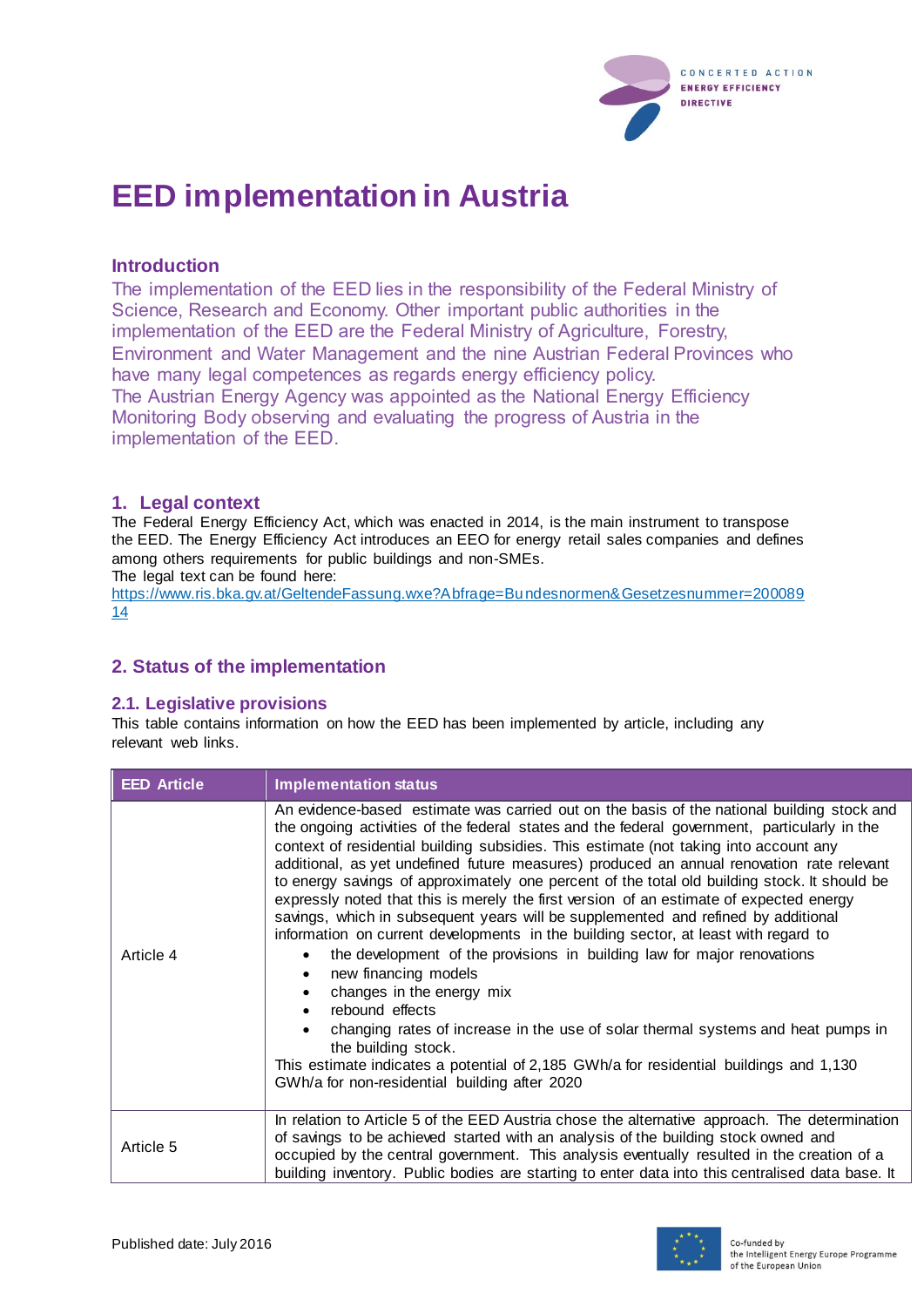

# **EED implementation in Austria**

#### **Introduction**

The implementation of the EED lies in the responsibility of the Federal Ministry of Science, Research and Economy. Other important public authorities in the implementation of the EED are the Federal Ministry of Agriculture, Forestry, Environment and Water Management and the nine Austrian Federal Provinces who have many legal competences as regards energy efficiency policy. The Austrian Energy Agency was appointed as the National Energy Efficiency Monitoring Body observing and evaluating the progress of Austria in the implementation of the EED.

# **1. Legal context**

The Federal Energy Efficiency Act, which was enacted in 2014, is the main instrument to transpose the EED. The Energy Efficiency Act introduces an EEO for energy retail sales companies and defines among others requirements for public buildings and non-SMEs.

The legal text can be found here:

[https://www.ris.bka.gv.at/GeltendeFassung.wxe?Abfrage=Bundesnormen&Gesetzesnummer=200089](https://www.ris.bka.gv.at/GeltendeFassung.wxe?Abfrage=Bundesnormen&Gesetzesnummer=20008914) [14](https://www.ris.bka.gv.at/GeltendeFassung.wxe?Abfrage=Bundesnormen&Gesetzesnummer=20008914)

# **2. Status of the implementation**

#### **2.1. Legislative provisions**

This table contains information on how the EED has been implemented by article, including any relevant web links.

| <b>EED Article</b> | <b>Implementation status</b>                                                                                                                                                                                                                                                                                                                                                                                                                                                                                                                                                                                                                                                                                                                                                                                                                                                                                                                                                                                                                                                                                                                                                               |
|--------------------|--------------------------------------------------------------------------------------------------------------------------------------------------------------------------------------------------------------------------------------------------------------------------------------------------------------------------------------------------------------------------------------------------------------------------------------------------------------------------------------------------------------------------------------------------------------------------------------------------------------------------------------------------------------------------------------------------------------------------------------------------------------------------------------------------------------------------------------------------------------------------------------------------------------------------------------------------------------------------------------------------------------------------------------------------------------------------------------------------------------------------------------------------------------------------------------------|
| Article 4          | An evidence-based estimate was carried out on the basis of the national building stock and<br>the ongoing activities of the federal states and the federal government, particularly in the<br>context of residential building subsidies. This estimate (not taking into account any<br>additional, as yet undefined future measures) produced an annual renovation rate relevant<br>to energy savings of approximately one percent of the total old building stock. It should be<br>expressly noted that this is merely the first version of an estimate of expected energy<br>savings, which in subsequent years will be supplemented and refined by additional<br>information on current developments in the building sector, at least with regard to<br>the development of the provisions in building law for major renovations<br>new financing models<br>$\bullet$<br>changes in the energy mix<br>rebound effects<br>changing rates of increase in the use of solar thermal systems and heat pumps in<br>$\bullet$<br>the building stock.<br>This estimate indicates a potential of 2,185 GWh/a for residential buildings and 1,130<br>GWh/a for non-residential building after 2020 |
| Article 5          | In relation to Article 5 of the EED Austria chose the alternative approach. The determination<br>of savings to be achieved started with an analysis of the building stock owned and<br>occupied by the central government. This analysis eventually resulted in the creation of a<br>building inventory. Public bodies are starting to enter data into this centralised data base. It                                                                                                                                                                                                                                                                                                                                                                                                                                                                                                                                                                                                                                                                                                                                                                                                      |

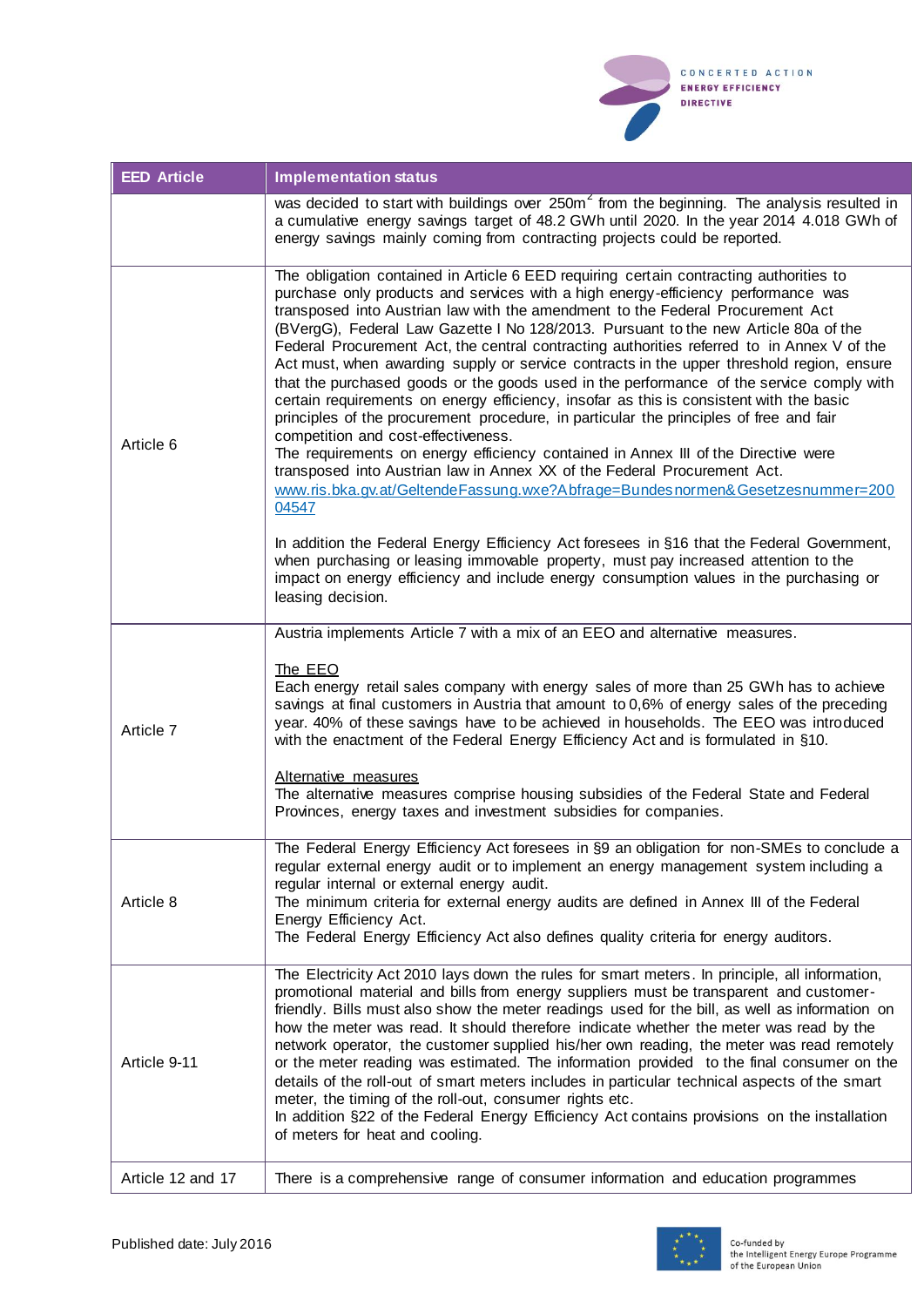

| <b>EED Article</b> | <b>Implementation status</b>                                                                                                                                                                                                                                                                                                                                                                                                                                                                                                                                                                                                                                                                                                                                                                                                                                                                                                                                                                                                                                                                                                                                                                                                                                                                                                                                                                                                           |
|--------------------|----------------------------------------------------------------------------------------------------------------------------------------------------------------------------------------------------------------------------------------------------------------------------------------------------------------------------------------------------------------------------------------------------------------------------------------------------------------------------------------------------------------------------------------------------------------------------------------------------------------------------------------------------------------------------------------------------------------------------------------------------------------------------------------------------------------------------------------------------------------------------------------------------------------------------------------------------------------------------------------------------------------------------------------------------------------------------------------------------------------------------------------------------------------------------------------------------------------------------------------------------------------------------------------------------------------------------------------------------------------------------------------------------------------------------------------|
|                    | was decided to start with buildings over 250m <sup>2</sup> from the beginning. The analysis resulted in<br>a cumulative energy savings target of 48.2 GWh until 2020. In the year 2014 4.018 GWh of<br>energy savings mainly coming from contracting projects could be reported.                                                                                                                                                                                                                                                                                                                                                                                                                                                                                                                                                                                                                                                                                                                                                                                                                                                                                                                                                                                                                                                                                                                                                       |
| Article 6          | The obligation contained in Article 6 EED requiring certain contracting authorities to<br>purchase only products and services with a high energy-efficiency performance was<br>transposed into Austrian law with the amendment to the Federal Procurement Act<br>(BVergG), Federal Law Gazette I No 128/2013. Pursuant to the new Article 80a of the<br>Federal Procurement Act, the central contracting authorities referred to in Annex V of the<br>Act must, when awarding supply or service contracts in the upper threshold region, ensure<br>that the purchased goods or the goods used in the performance of the service comply with<br>certain requirements on energy efficiency, insofar as this is consistent with the basic<br>principles of the procurement procedure, in particular the principles of free and fair<br>competition and cost-effectiveness.<br>The requirements on energy efficiency contained in Annex III of the Directive were<br>transposed into Austrian law in Annex XX of the Federal Procurement Act.<br>www.ris.bka.gv.at/GeltendeFassung.wxe?Abfrage=Bundesnormen&Gesetzesnummer=200<br>04547<br>In addition the Federal Energy Efficiency Act foresees in §16 that the Federal Government,<br>when purchasing or leasing immovable property, must pay increased attention to the<br>impact on energy efficiency and include energy consumption values in the purchasing or<br>leasing decision. |
| Article 7          | Austria implements Article 7 with a mix of an EEO and alternative measures.<br>The EEO<br>Each energy retail sales company with energy sales of more than 25 GWh has to achieve<br>savings at final customers in Austria that amount to 0,6% of energy sales of the preceding<br>year. 40% of these savings have to be achieved in households. The EEO was introduced<br>with the enactment of the Federal Energy Efficiency Act and is formulated in §10.<br>Alternative measures<br>The alternative measures comprise housing subsidies of the Federal State and Federal<br>Provinces, energy taxes and investment subsidies for companies.                                                                                                                                                                                                                                                                                                                                                                                                                                                                                                                                                                                                                                                                                                                                                                                          |
| Article 8          | The Federal Energy Efficiency Act foresees in §9 an obligation for non-SMEs to conclude a<br>regular external energy audit or to implement an energy management system including a<br>regular internal or external energy audit.<br>The minimum criteria for external energy audits are defined in Annex III of the Federal<br>Energy Efficiency Act.<br>The Federal Energy Efficiency Act also defines quality criteria for energy auditors.                                                                                                                                                                                                                                                                                                                                                                                                                                                                                                                                                                                                                                                                                                                                                                                                                                                                                                                                                                                          |
| Article 9-11       | The Electricity Act 2010 lays down the rules for smart meters. In principle, all information,<br>promotional material and bills from energy suppliers must be transparent and customer-<br>friendly. Bills must also show the meter readings used for the bill, as well as information on<br>how the meter was read. It should therefore indicate whether the meter was read by the<br>network operator, the customer supplied his/her own reading, the meter was read remotely<br>or the meter reading was estimated. The information provided to the final consumer on the<br>details of the roll-out of smart meters includes in particular technical aspects of the smart<br>meter, the timing of the roll-out, consumer rights etc.<br>In addition §22 of the Federal Energy Efficiency Act contains provisions on the installation<br>of meters for heat and cooling.                                                                                                                                                                                                                                                                                                                                                                                                                                                                                                                                                            |
| Article 12 and 17  | There is a comprehensive range of consumer information and education programmes                                                                                                                                                                                                                                                                                                                                                                                                                                                                                                                                                                                                                                                                                                                                                                                                                                                                                                                                                                                                                                                                                                                                                                                                                                                                                                                                                        |

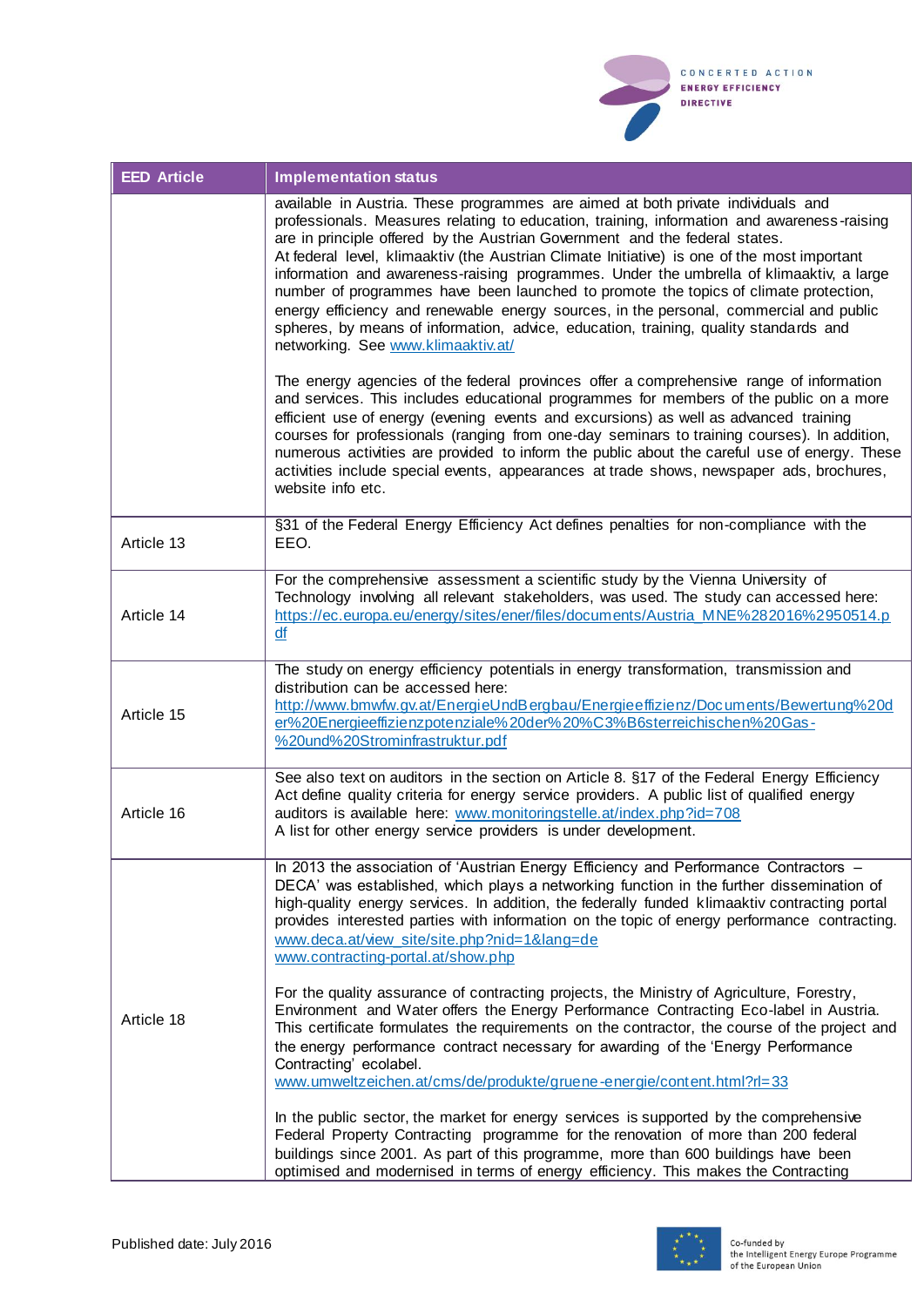

| <b>EED Article</b> | <b>Implementation status</b>                                                                                                                                                                                                                                                                                                                                                                                                                                                                                                                                                                                                                                                                                                                                                                                                                                                                                                                                 |
|--------------------|--------------------------------------------------------------------------------------------------------------------------------------------------------------------------------------------------------------------------------------------------------------------------------------------------------------------------------------------------------------------------------------------------------------------------------------------------------------------------------------------------------------------------------------------------------------------------------------------------------------------------------------------------------------------------------------------------------------------------------------------------------------------------------------------------------------------------------------------------------------------------------------------------------------------------------------------------------------|
|                    | available in Austria. These programmes are aimed at both private individuals and<br>professionals. Measures relating to education, training, information and awareness-raising<br>are in principle offered by the Austrian Government and the federal states.<br>At federal level, klimaaktiv (the Austrian Climate Initiative) is one of the most important<br>information and awareness-raising programmes. Under the umbrella of klimaaktiv, a large<br>number of programmes have been launched to promote the topics of climate protection,<br>energy efficiency and renewable energy sources, in the personal, commercial and public<br>spheres, by means of information, advice, education, training, quality standards and<br>networking. See www.klimaaktiv.at/<br>The energy agencies of the federal provinces offer a comprehensive range of information<br>and services. This includes educational programmes for members of the public on a more |
|                    | efficient use of energy (evening events and excursions) as well as advanced training<br>courses for professionals (ranging from one-day seminars to training courses). In addition,<br>numerous activities are provided to inform the public about the careful use of energy. These<br>activities include special events, appearances at trade shows, newspaper ads, brochures,<br>website info etc.                                                                                                                                                                                                                                                                                                                                                                                                                                                                                                                                                         |
| Article 13         | §31 of the Federal Energy Efficiency Act defines penalties for non-compliance with the<br>EEO.                                                                                                                                                                                                                                                                                                                                                                                                                                                                                                                                                                                                                                                                                                                                                                                                                                                               |
| Article 14         | For the comprehensive assessment a scientific study by the Vienna University of<br>Technology involving all relevant stakeholders, was used. The study can accessed here:<br>https://ec.europa.eu/energy/sites/ener/files/documents/Austria_MNE%282016%2950514.p<br>df                                                                                                                                                                                                                                                                                                                                                                                                                                                                                                                                                                                                                                                                                       |
| Article 15         | The study on energy efficiency potentials in energy transformation, transmission and<br>distribution can be accessed here:<br>http://www.bmwfw.gv.at/EnergieUndBergbau/Energieeffizienz/Documents/Bewertung%20d<br>er%20Energieeffizienzpotenziale%20der%20%C3%B6sterreichischen%20Gas-<br>%20und%20Strominfrastruktur.pdf                                                                                                                                                                                                                                                                                                                                                                                                                                                                                                                                                                                                                                   |
| Article 16         | See also text on auditors in the section on Article 8. §17 of the Federal Energy Efficiency<br>Act define quality criteria for energy service providers. A public list of qualified energy<br>auditors is available here: www.monitoringstelle.at/index.php?id=708<br>A list for other energy service providers is under development.                                                                                                                                                                                                                                                                                                                                                                                                                                                                                                                                                                                                                        |
| Article 18         | In 2013 the association of 'Austrian Energy Efficiency and Performance Contractors -<br>DECA' was established, which plays a networking function in the further dissemination of<br>high-quality energy services. In addition, the federally funded klimaaktiv contracting portal<br>provides interested parties with information on the topic of energy performance contracting.<br>www.deca.at/view_site/site.php?nid=1⟨=de<br>www.contracting-portal.at/show.php<br>For the quality assurance of contracting projects, the Ministry of Agriculture, Forestry,<br>Environment and Water offers the Energy Performance Contracting Eco-label in Austria.<br>This certificate formulates the requirements on the contractor, the course of the project and<br>the energy performance contract necessary for awarding of the 'Energy Performance<br>Contracting' ecolabel.<br>www.umweltzeichen.at/cms/de/produkte/gruene-energie/content.html?rl=33          |
|                    | In the public sector, the market for energy services is supported by the comprehensive<br>Federal Property Contracting programme for the renovation of more than 200 federal<br>buildings since 2001. As part of this programme, more than 600 buildings have been<br>optimised and modernised in terms of energy efficiency. This makes the Contracting                                                                                                                                                                                                                                                                                                                                                                                                                                                                                                                                                                                                     |